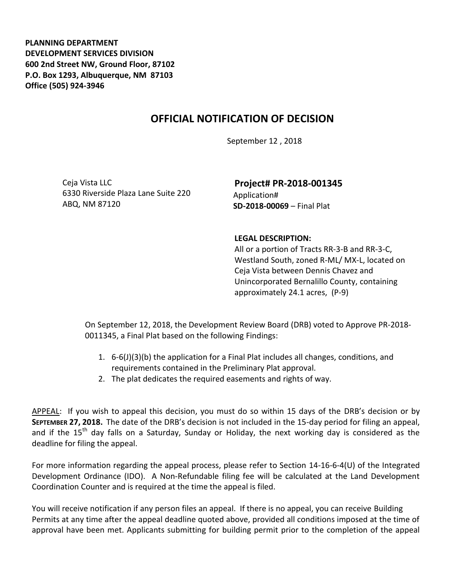**PLANNING DEPARTMENT DEVELOPMENT SERVICES DIVISION 600 2nd Street NW, Ground Floor, 87102 P.O. Box 1293, Albuquerque, NM 87103 Office (505) 924-3946** 

## **OFFICIAL NOTIFICATION OF DECISION**

September 12 , 2018

Ceja Vista LLC 6330 Riverside Plaza Lane Suite 220 ABQ, NM 87120

**Project# PR-2018-001345** Application# **SD-2018-00069** – Final Plat

## **LEGAL DESCRIPTION:**

All or a portion of Tracts RR-3-B and RR-3-C, Westland South, zoned R-ML/ MX-L, located on Ceja Vista between Dennis Chavez and Unincorporated Bernalillo County, containing approximately 24.1 acres, (P-9)

On September 12, 2018, the Development Review Board (DRB) voted to Approve PR-2018- 0011345, a Final Plat based on the following Findings:

- 1. 6-6(J)(3)(b) the application for a Final Plat includes all changes, conditions, and requirements contained in the Preliminary Plat approval.
- 2. The plat dedicates the required easements and rights of way.

APPEAL: If you wish to appeal this decision, you must do so within 15 days of the DRB's decision or by **SEPTEMBER 27, 2018.** The date of the DRB's decision is not included in the 15-day period for filing an appeal, and if the 15<sup>th</sup> day falls on a Saturday, Sunday or Holiday, the next working day is considered as the deadline for filing the appeal.

For more information regarding the appeal process, please refer to Section 14-16-6-4(U) of the Integrated Development Ordinance (IDO). A Non-Refundable filing fee will be calculated at the Land Development Coordination Counter and is required at the time the appeal is filed.

You will receive notification if any person files an appeal. If there is no appeal, you can receive Building Permits at any time after the appeal deadline quoted above, provided all conditions imposed at the time of approval have been met. Applicants submitting for building permit prior to the completion of the appeal